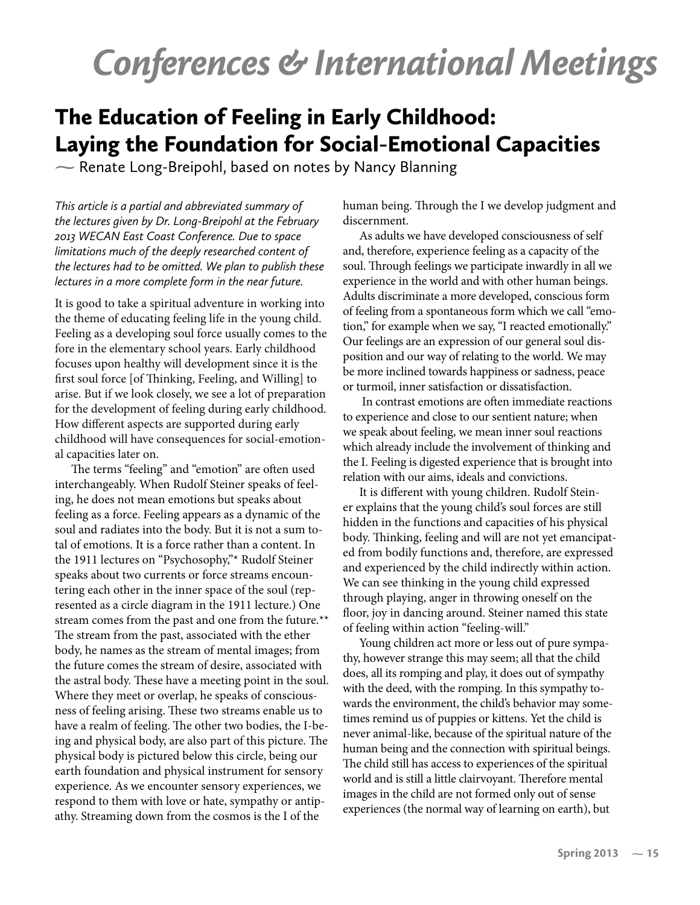## *Conferences & International Meetings*

## The Education of Feeling in Early Childhood: Laying the Foundation for Social-Emotional Capacities

**-** Renate Long-Breipohl, based on notes by Nancy Blanning

*This article is a partial and abbreviated summary of the lectures given by Dr. Long-Breipohl at the February 2013 WECAN East Coast Conference. Due to space limitations much of the deeply researched content of the lectures had to be omitted. We plan to publish these lectures in a more complete form in the near future.*

It is good to take a spiritual adventure in working into the theme of educating feeling life in the young child. Feeling as a developing soul force usually comes to the fore in the elementary school years. Early childhood focuses upon healthy will development since it is the first soul force [of Thinking, Feeling, and Willing] to arise. But if we look closely, we see a lot of preparation for the development of feeling during early childhood. How different aspects are supported during early childhood will have consequences for social-emotional capacities later on.

The terms "feeling" and "emotion" are often used interchangeably. When Rudolf Steiner speaks of feeling, he does not mean emotions but speaks about feeling as a force. Feeling appears as a dynamic of the soul and radiates into the body. But it is not a sum total of emotions. It is a force rather than a content. In the 1911 lectures on "Psychosophy,"\* Rudolf Steiner speaks about two currents or force streams encountering each other in the inner space of the soul (represented as a circle diagram in the 1911 lecture.) One stream comes from the past and one from the future.\*\* The stream from the past, associated with the ether body, he names as the stream of mental images; from the future comes the stream of desire, associated with the astral body. These have a meeting point in the soul. Where they meet or overlap, he speaks of consciousness of feeling arising. These two streams enable us to have a realm of feeling. The other two bodies, the I-being and physical body, are also part of this picture. The physical body is pictured below this circle, being our earth foundation and physical instrument for sensory experience. As we encounter sensory experiences, we respond to them with love or hate, sympathy or antipathy. Streaming down from the cosmos is the I of the

human being. Through the I we develop judgment and discernment.

As adults we have developed consciousness of self and, therefore, experience feeling as a capacity of the soul. Through feelings we participate inwardly in all we experience in the world and with other human beings. Adults discriminate a more developed, conscious form of feeling from a spontaneous form which we call "emotion," for example when we say, "I reacted emotionally." Our feelings are an expression of our general soul disposition and our way of relating to the world. We may be more inclined towards happiness or sadness, peace or turmoil, inner satisfaction or dissatisfaction.

 In contrast emotions are often immediate reactions to experience and close to our sentient nature; when we speak about feeling, we mean inner soul reactions which already include the involvement of thinking and the I. Feeling is digested experience that is brought into relation with our aims, ideals and convictions.

It is different with young children. Rudolf Steiner explains that the young child's soul forces are still hidden in the functions and capacities of his physical body. Thinking, feeling and will are not yet emancipated from bodily functions and, therefore, are expressed and experienced by the child indirectly within action. We can see thinking in the young child expressed through playing, anger in throwing oneself on the floor, joy in dancing around. Steiner named this state of feeling within action "feeling-will."

Young children act more or less out of pure sympathy, however strange this may seem; all that the child does, all its romping and play, it does out of sympathy with the deed, with the romping. In this sympathy towards the environment, the child's behavior may sometimes remind us of puppies or kittens. Yet the child is never animal-like, because of the spiritual nature of the human being and the connection with spiritual beings. The child still has access to experiences of the spiritual world and is still a little clairvoyant. Therefore mental images in the child are not formed only out of sense experiences (the normal way of learning on earth), but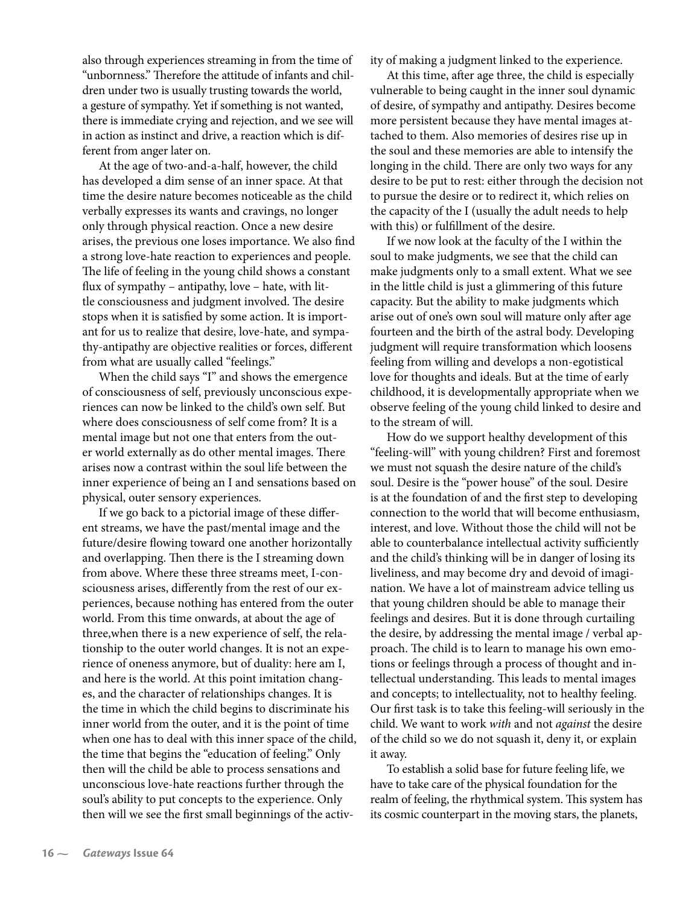also through experiences streaming in from the time of "unbornness." Therefore the attitude of infants and children under two is usually trusting towards the world, a gesture of sympathy. Yet if something is not wanted, there is immediate crying and rejection, and we see will in action as instinct and drive, a reaction which is different from anger later on.

At the age of two-and-a-half, however, the child has developed a dim sense of an inner space. At that time the desire nature becomes noticeable as the child verbally expresses its wants and cravings, no longer only through physical reaction. Once a new desire arises, the previous one loses importance. We also find a strong love-hate reaction to experiences and people. The life of feeling in the young child shows a constant flux of sympathy – antipathy, love – hate, with little consciousness and judgment involved. The desire stops when it is satisfied by some action. It is important for us to realize that desire, love-hate, and sympathy-antipathy are objective realities or forces, different from what are usually called "feelings."

When the child says "I" and shows the emergence of consciousness of self, previously unconscious experiences can now be linked to the child's own self. But where does consciousness of self come from? It is a mental image but not one that enters from the outer world externally as do other mental images. There arises now a contrast within the soul life between the inner experience of being an I and sensations based on physical, outer sensory experiences.

If we go back to a pictorial image of these different streams, we have the past/mental image and the future/desire flowing toward one another horizontally and overlapping. Then there is the I streaming down from above. Where these three streams meet, I-consciousness arises, differently from the rest of our experiences, because nothing has entered from the outer world. From this time onwards, at about the age of three,when there is a new experience of self, the relationship to the outer world changes. It is not an experience of oneness anymore, but of duality: here am I, and here is the world. At this point imitation changes, and the character of relationships changes. It is the time in which the child begins to discriminate his inner world from the outer, and it is the point of time when one has to deal with this inner space of the child, the time that begins the "education of feeling." Only then will the child be able to process sensations and unconscious love-hate reactions further through the soul's ability to put concepts to the experience. Only then will we see the first small beginnings of the activity of making a judgment linked to the experience.

At this time, after age three, the child is especially vulnerable to being caught in the inner soul dynamic of desire, of sympathy and antipathy. Desires become more persistent because they have mental images attached to them. Also memories of desires rise up in the soul and these memories are able to intensify the longing in the child. There are only two ways for any desire to be put to rest: either through the decision not to pursue the desire or to redirect it, which relies on the capacity of the I (usually the adult needs to help with this) or fulfillment of the desire.

If we now look at the faculty of the I within the soul to make judgments, we see that the child can make judgments only to a small extent. What we see in the little child is just a glimmering of this future capacity. But the ability to make judgments which arise out of one's own soul will mature only after age fourteen and the birth of the astral body. Developing judgment will require transformation which loosens feeling from willing and develops a non-egotistical love for thoughts and ideals. But at the time of early childhood, it is developmentally appropriate when we observe feeling of the young child linked to desire and to the stream of will.

How do we support healthy development of this "feeling-will" with young children? First and foremost we must not squash the desire nature of the child's soul. Desire is the "power house" of the soul. Desire is at the foundation of and the first step to developing connection to the world that will become enthusiasm, interest, and love. Without those the child will not be able to counterbalance intellectual activity sufficiently and the child's thinking will be in danger of losing its liveliness, and may become dry and devoid of imagination. We have a lot of mainstream advice telling us that young children should be able to manage their feelings and desires. But it is done through curtailing the desire, by addressing the mental image / verbal approach. The child is to learn to manage his own emotions or feelings through a process of thought and intellectual understanding. This leads to mental images and concepts; to intellectuality, not to healthy feeling. Our first task is to take this feeling-will seriously in the child. We want to work with and not against the desire of the child so we do not squash it, deny it, or explain it away.

To establish a solid base for future feeling life, we have to take care of the physical foundation for the realm of feeling, the rhythmical system. This system has its cosmic counterpart in the moving stars, the planets,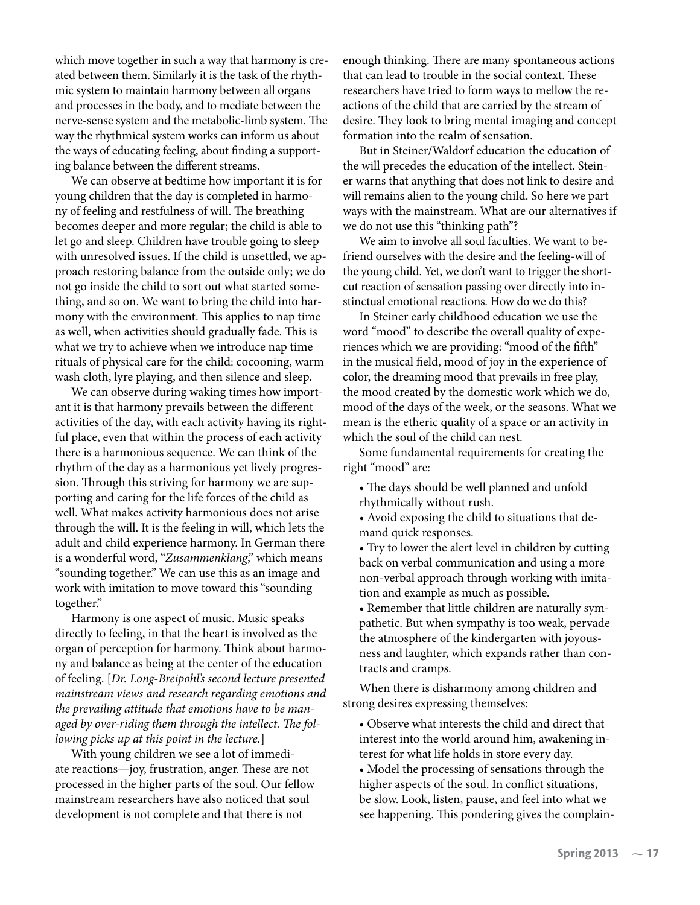which move together in such a way that harmony is created between them. Similarly it is the task of the rhythmic system to maintain harmony between all organs and processes in the body, and to mediate between the nerve-sense system and the metabolic-limb system. The way the rhythmical system works can inform us about the ways of educating feeling, about finding a supporting balance between the different streams.

We can observe at bedtime how important it is for young children that the day is completed in harmony of feeling and restfulness of will. The breathing becomes deeper and more regular; the child is able to let go and sleep. Children have trouble going to sleep with unresolved issues. If the child is unsettled, we approach restoring balance from the outside only; we do not go inside the child to sort out what started something, and so on. We want to bring the child into harmony with the environment. This applies to nap time as well, when activities should gradually fade. This is what we try to achieve when we introduce nap time rituals of physical care for the child: cocooning, warm wash cloth, lyre playing, and then silence and sleep.

We can observe during waking times how important it is that harmony prevails between the different activities of the day, with each activity having its rightful place, even that within the process of each activity there is a harmonious sequence. We can think of the rhythm of the day as a harmonious yet lively progression. Through this striving for harmony we are supporting and caring for the life forces of the child as well. What makes activity harmonious does not arise through the will. It is the feeling in will, which lets the adult and child experience harmony. In German there is a wonderful word, "Zusammenklang," which means "sounding together." We can use this as an image and work with imitation to move toward this "sounding together."

Harmony is one aspect of music. Music speaks directly to feeling, in that the heart is involved as the organ of perception for harmony. Think about harmony and balance as being at the center of the education of feeling. [Dr. Long-Breipohl's second lecture presented mainstream views and research regarding emotions and the prevailing attitude that emotions have to be managed by over-riding them through the intellect. The following picks up at this point in the lecture.]

With young children we see a lot of immediate reactions—joy, frustration, anger. These are not processed in the higher parts of the soul. Our fellow mainstream researchers have also noticed that soul development is not complete and that there is not

enough thinking. There are many spontaneous actions that can lead to trouble in the social context. These researchers have tried to form ways to mellow the reactions of the child that are carried by the stream of desire. They look to bring mental imaging and concept formation into the realm of sensation.

But in Steiner/Waldorf education the education of the will precedes the education of the intellect. Steiner warns that anything that does not link to desire and will remains alien to the young child. So here we part ways with the mainstream. What are our alternatives if we do not use this "thinking path"?

We aim to involve all soul faculties. We want to befriend ourselves with the desire and the feeling-will of the young child. Yet, we don't want to trigger the shortcut reaction of sensation passing over directly into instinctual emotional reactions. How do we do this?

In Steiner early childhood education we use the word "mood" to describe the overall quality of experiences which we are providing: "mood of the fifth" in the musical field, mood of joy in the experience of color, the dreaming mood that prevails in free play, the mood created by the domestic work which we do, mood of the days of the week, or the seasons. What we mean is the etheric quality of a space or an activity in which the soul of the child can nest.

Some fundamental requirements for creating the right "mood" are:

- The days should be well planned and unfold rhythmically without rush.
- Avoid exposing the child to situations that demand quick responses.
- Try to lower the alert level in children by cutting back on verbal communication and using a more non-verbal approach through working with imitation and example as much as possible.

• Remember that little children are naturally sympathetic. But when sympathy is too weak, pervade the atmosphere of the kindergarten with joyousness and laughter, which expands rather than contracts and cramps.

When there is disharmony among children and strong desires expressing themselves:

• Observe what interests the child and direct that interest into the world around him, awakening interest for what life holds in store every day.

• Model the processing of sensations through the higher aspects of the soul. In conflict situations, be slow. Look, listen, pause, and feel into what we see happening. This pondering gives the complain